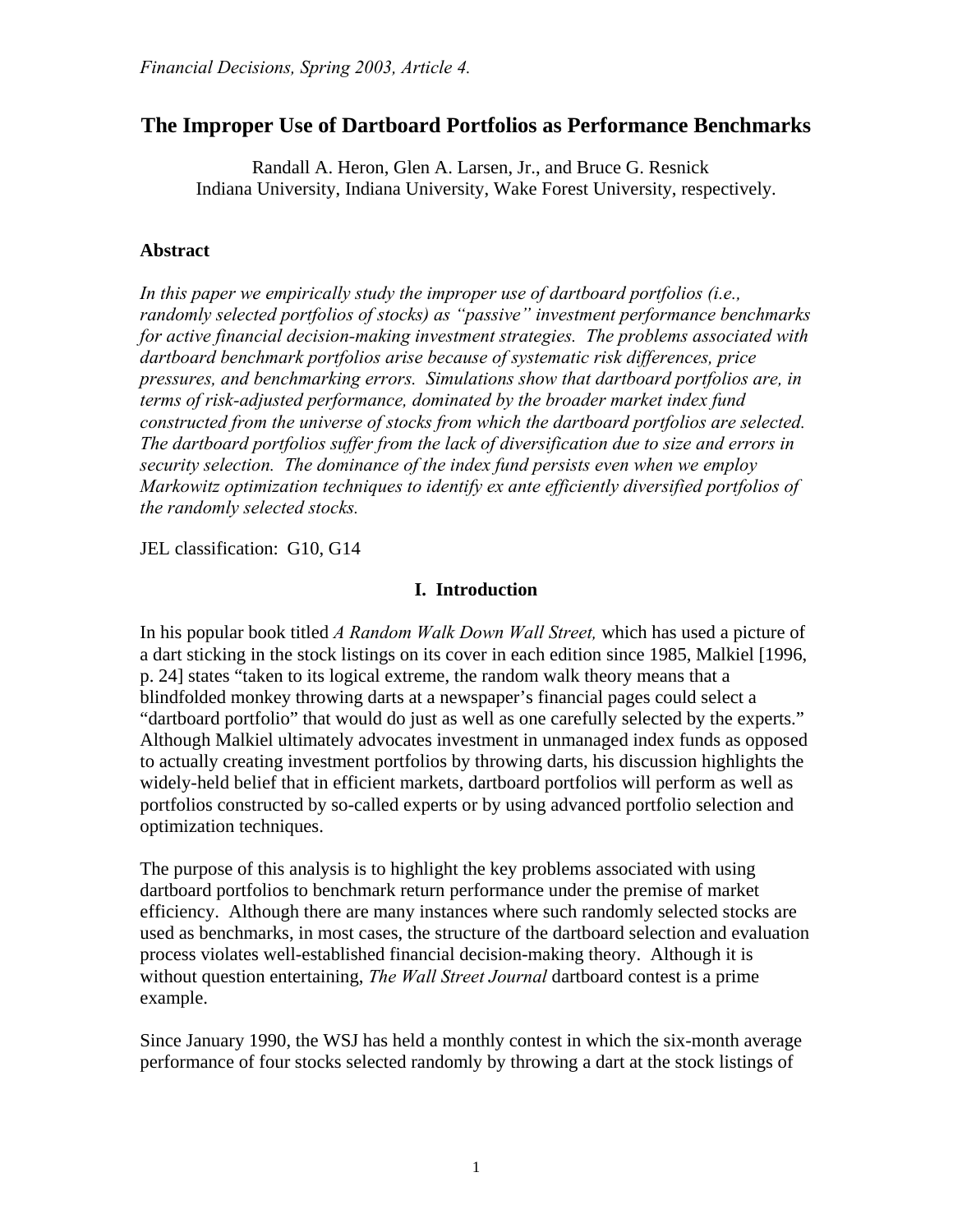# **The Improper Use of Dartboard Portfolios as Performance Benchmarks**

Randall A. Heron, Glen A. Larsen, Jr., and Bruce G. Resnick Indiana University, Indiana University, Wake Forest University, respectively.

### **Abstract**

*In this paper we empirically study the improper use of dartboard portfolios (i.e., randomly selected portfolios of stocks) as "passive" investment performance benchmarks for active financial decision-making investment strategies. The problems associated with dartboard benchmark portfolios arise because of systematic risk differences, price pressures, and benchmarking errors. Simulations show that dartboard portfolios are, in terms of risk-adjusted performance, dominated by the broader market index fund constructed from the universe of stocks from which the dartboard portfolios are selected. The dartboard portfolios suffer from the lack of diversification due to size and errors in security selection. The dominance of the index fund persists even when we employ Markowitz optimization techniques to identify ex ante efficiently diversified portfolios of the randomly selected stocks.* 

JEL classification: G10, G14

### **I. Introduction**

In his popular book titled *A Random Walk Down Wall Street,* which has used a picture of a dart sticking in the stock listings on its cover in each edition since 1985, Malkiel [1996, p. 24] states "taken to its logical extreme, the random walk theory means that a blindfolded monkey throwing darts at a newspaper's financial pages could select a "dartboard portfolio" that would do just as well as one carefully selected by the experts." Although Malkiel ultimately advocates investment in unmanaged index funds as opposed to actually creating investment portfolios by throwing darts, his discussion highlights the widely-held belief that in efficient markets, dartboard portfolios will perform as well as portfolios constructed by so-called experts or by using advanced portfolio selection and optimization techniques.

The purpose of this analysis is to highlight the key problems associated with using dartboard portfolios to benchmark return performance under the premise of market efficiency. Although there are many instances where such randomly selected stocks are used as benchmarks, in most cases, the structure of the dartboard selection and evaluation process violates well-established financial decision-making theory. Although it is without question entertaining, *The Wall Street Journal* dartboard contest is a prime example.

Since January 1990, the WSJ has held a monthly contest in which the six-month average performance of four stocks selected randomly by throwing a dart at the stock listings of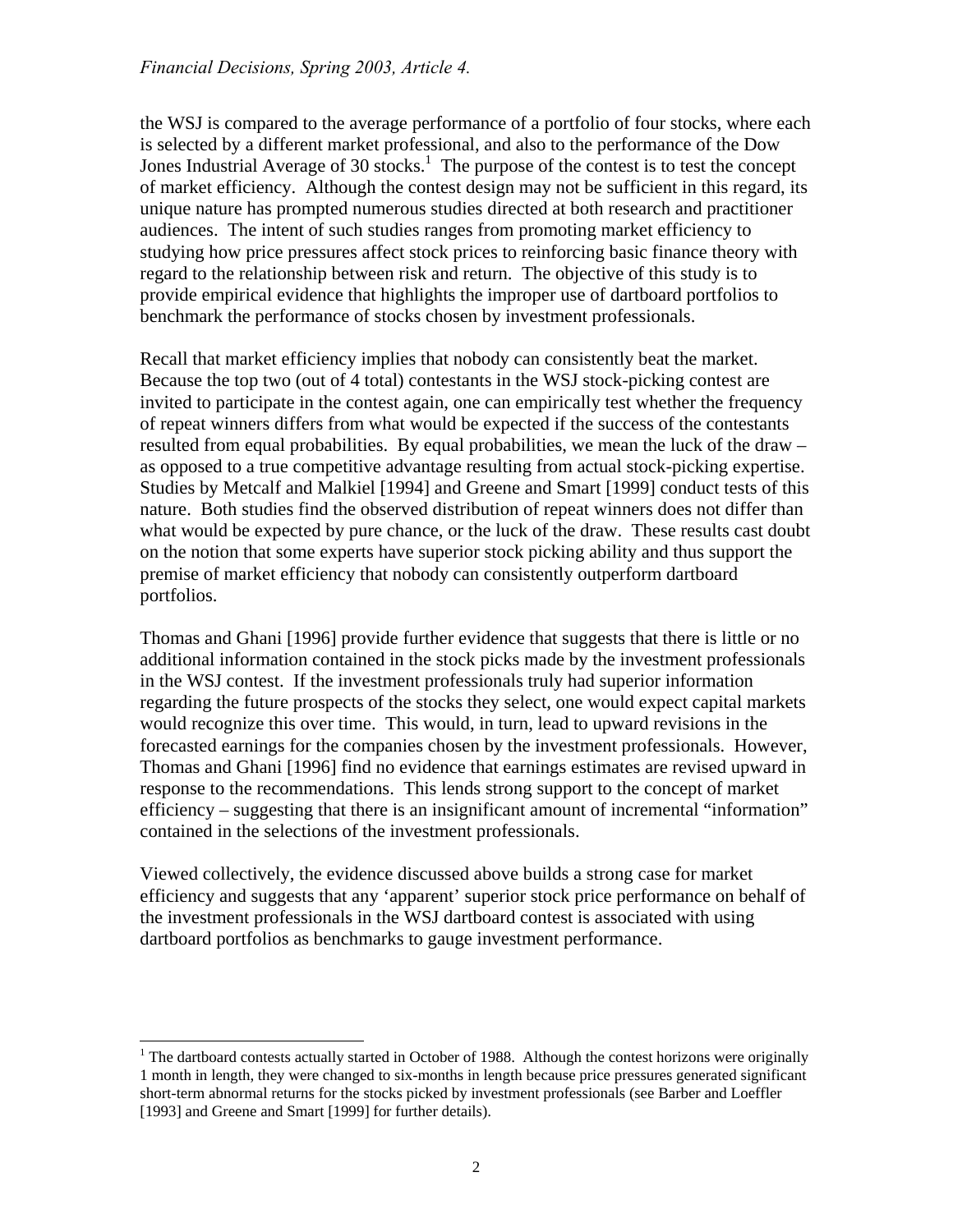the WSJ is compared to the average performance of a portfolio of four stocks, where each is selected by a different market professional, and also to the performance of the Dow Jones Industrial Average of 30 stocks.<sup>[1](#page-1-0)</sup> The purpose of the contest is to test the concept of market efficiency. Although the contest design may not be sufficient in this regard, its unique nature has prompted numerous studies directed at both research and practitioner audiences. The intent of such studies ranges from promoting market efficiency to studying how price pressures affect stock prices to reinforcing basic finance theory with regard to the relationship between risk and return. The objective of this study is to provide empirical evidence that highlights the improper use of dartboard portfolios to benchmark the performance of stocks chosen by investment professionals.

Recall that market efficiency implies that nobody can consistently beat the market. Because the top two (out of 4 total) contestants in the WSJ stock-picking contest are invited to participate in the contest again, one can empirically test whether the frequency of repeat winners differs from what would be expected if the success of the contestants resulted from equal probabilities. By equal probabilities, we mean the luck of the draw – as opposed to a true competitive advantage resulting from actual stock-picking expertise. Studies by Metcalf and Malkiel [1994] and Greene and Smart [1999] conduct tests of this nature. Both studies find the observed distribution of repeat winners does not differ than what would be expected by pure chance, or the luck of the draw. These results cast doubt on the notion that some experts have superior stock picking ability and thus support the premise of market efficiency that nobody can consistently outperform dartboard portfolios.

Thomas and Ghani [1996] provide further evidence that suggests that there is little or no additional information contained in the stock picks made by the investment professionals in the WSJ contest. If the investment professionals truly had superior information regarding the future prospects of the stocks they select, one would expect capital markets would recognize this over time. This would, in turn, lead to upward revisions in the forecasted earnings for the companies chosen by the investment professionals. However, Thomas and Ghani [1996] find no evidence that earnings estimates are revised upward in response to the recommendations. This lends strong support to the concept of market efficiency – suggesting that there is an insignificant amount of incremental "information" contained in the selections of the investment professionals.

Viewed collectively, the evidence discussed above builds a strong case for market efficiency and suggests that any 'apparent' superior stock price performance on behalf of the investment professionals in the WSJ dartboard contest is associated with using dartboard portfolios as benchmarks to gauge investment performance.

<span id="page-1-0"></span> $\frac{1}{1}$ <sup>1</sup> The dartboard contests actually started in October of 1988. Although the contest horizons were originally 1 month in length, they were changed to six-months in length because price pressures generated significant short-term abnormal returns for the stocks picked by investment professionals (see Barber and Loeffler [1993] and Greene and Smart [1999] for further details).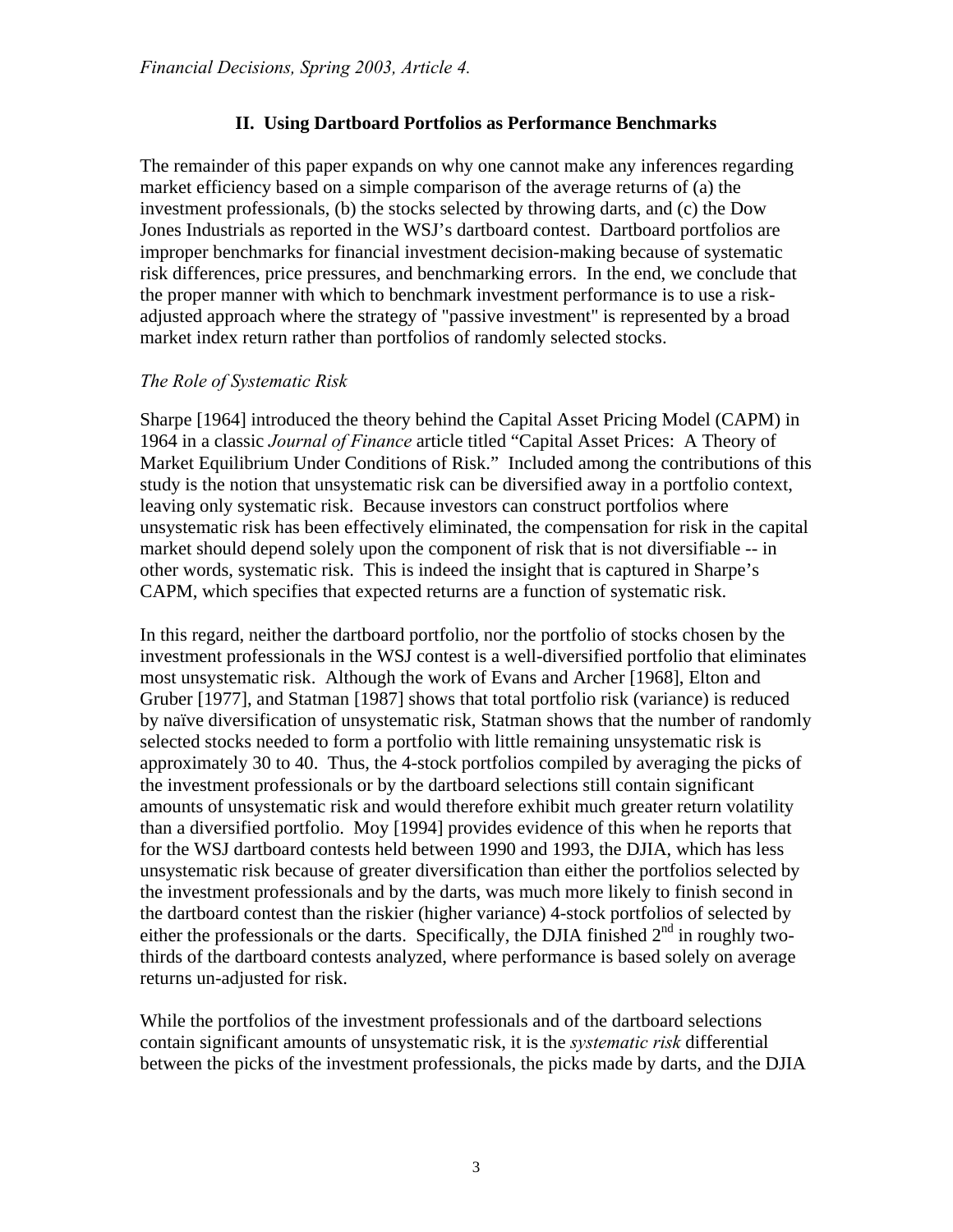## **II. Using Dartboard Portfolios as Performance Benchmarks**

The remainder of this paper expands on why one cannot make any inferences regarding market efficiency based on a simple comparison of the average returns of (a) the investment professionals, (b) the stocks selected by throwing darts, and (c) the Dow Jones Industrials as reported in the WSJ's dartboard contest. Dartboard portfolios are improper benchmarks for financial investment decision-making because of systematic risk differences, price pressures, and benchmarking errors. In the end, we conclude that the proper manner with which to benchmark investment performance is to use a riskadjusted approach where the strategy of "passive investment" is represented by a broad market index return rather than portfolios of randomly selected stocks.

### *The Role of Systematic Risk*

Sharpe [1964] introduced the theory behind the Capital Asset Pricing Model (CAPM) in 1964 in a classic *Journal of Finance* article titled "Capital Asset Prices: A Theory of Market Equilibrium Under Conditions of Risk." Included among the contributions of this study is the notion that unsystematic risk can be diversified away in a portfolio context, leaving only systematic risk. Because investors can construct portfolios where unsystematic risk has been effectively eliminated, the compensation for risk in the capital market should depend solely upon the component of risk that is not diversifiable -- in other words, systematic risk. This is indeed the insight that is captured in Sharpe's CAPM, which specifies that expected returns are a function of systematic risk.

In this regard, neither the dartboard portfolio, nor the portfolio of stocks chosen by the investment professionals in the WSJ contest is a well-diversified portfolio that eliminates most unsystematic risk. Although the work of Evans and Archer [1968], Elton and Gruber [1977], and Statman [1987] shows that total portfolio risk (variance) is reduced by naïve diversification of unsystematic risk, Statman shows that the number of randomly selected stocks needed to form a portfolio with little remaining unsystematic risk is approximately 30 to 40. Thus, the 4-stock portfolios compiled by averaging the picks of the investment professionals or by the dartboard selections still contain significant amounts of unsystematic risk and would therefore exhibit much greater return volatility than a diversified portfolio. Moy [1994] provides evidence of this when he reports that for the WSJ dartboard contests held between 1990 and 1993, the DJIA, which has less unsystematic risk because of greater diversification than either the portfolios selected by the investment professionals and by the darts, was much more likely to finish second in the dartboard contest than the riskier (higher variance) 4-stock portfolios of selected by either the professionals or the darts. Specifically, the DJIA finished  $2<sup>nd</sup>$  in roughly twothirds of the dartboard contests analyzed, where performance is based solely on average returns un-adjusted for risk.

While the portfolios of the investment professionals and of the dartboard selections contain significant amounts of unsystematic risk, it is the *systematic risk* differential between the picks of the investment professionals, the picks made by darts, and the DJIA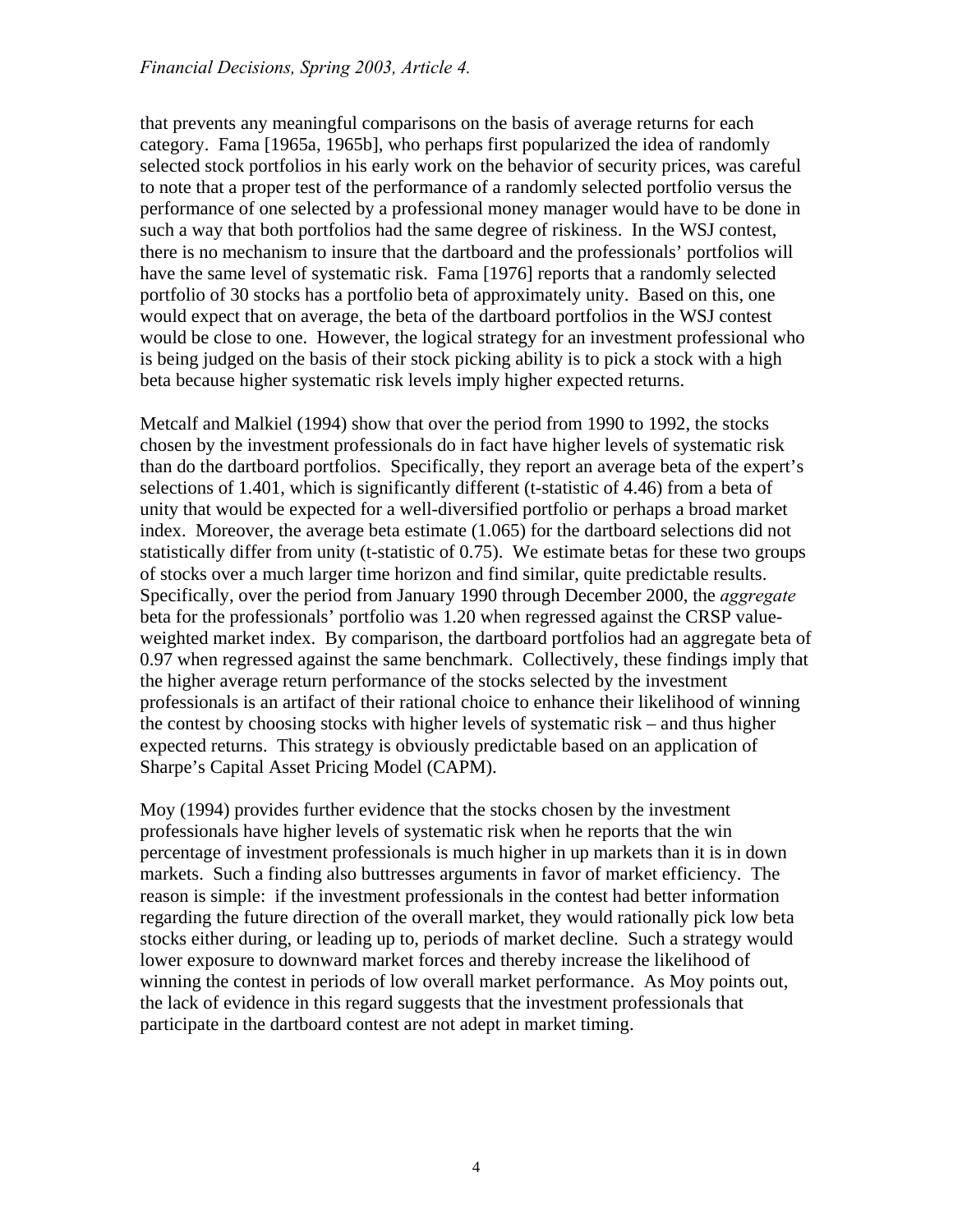that prevents any meaningful comparisons on the basis of average returns for each category. Fama [1965a, 1965b], who perhaps first popularized the idea of randomly selected stock portfolios in his early work on the behavior of security prices, was careful to note that a proper test of the performance of a randomly selected portfolio versus the performance of one selected by a professional money manager would have to be done in such a way that both portfolios had the same degree of riskiness. In the WSJ contest, there is no mechanism to insure that the dartboard and the professionals' portfolios will have the same level of systematic risk. Fama [1976] reports that a randomly selected portfolio of 30 stocks has a portfolio beta of approximately unity. Based on this, one would expect that on average, the beta of the dartboard portfolios in the WSJ contest would be close to one. However, the logical strategy for an investment professional who is being judged on the basis of their stock picking ability is to pick a stock with a high beta because higher systematic risk levels imply higher expected returns.

Metcalf and Malkiel (1994) show that over the period from 1990 to 1992, the stocks chosen by the investment professionals do in fact have higher levels of systematic risk than do the dartboard portfolios. Specifically, they report an average beta of the expert's selections of 1.401, which is significantly different (t-statistic of 4.46) from a beta of unity that would be expected for a well-diversified portfolio or perhaps a broad market index. Moreover, the average beta estimate (1.065) for the dartboard selections did not statistically differ from unity (t-statistic of 0.75). We estimate betas for these two groups of stocks over a much larger time horizon and find similar, quite predictable results. Specifically, over the period from January 1990 through December 2000, the *aggregate* beta for the professionals' portfolio was 1.20 when regressed against the CRSP valueweighted market index. By comparison, the dartboard portfolios had an aggregate beta of 0.97 when regressed against the same benchmark. Collectively, these findings imply that the higher average return performance of the stocks selected by the investment professionals is an artifact of their rational choice to enhance their likelihood of winning the contest by choosing stocks with higher levels of systematic risk – and thus higher expected returns. This strategy is obviously predictable based on an application of Sharpe's Capital Asset Pricing Model (CAPM).

Moy (1994) provides further evidence that the stocks chosen by the investment professionals have higher levels of systematic risk when he reports that the win percentage of investment professionals is much higher in up markets than it is in down markets. Such a finding also buttresses arguments in favor of market efficiency. The reason is simple: if the investment professionals in the contest had better information regarding the future direction of the overall market, they would rationally pick low beta stocks either during, or leading up to, periods of market decline. Such a strategy would lower exposure to downward market forces and thereby increase the likelihood of winning the contest in periods of low overall market performance. As Moy points out, the lack of evidence in this regard suggests that the investment professionals that participate in the dartboard contest are not adept in market timing.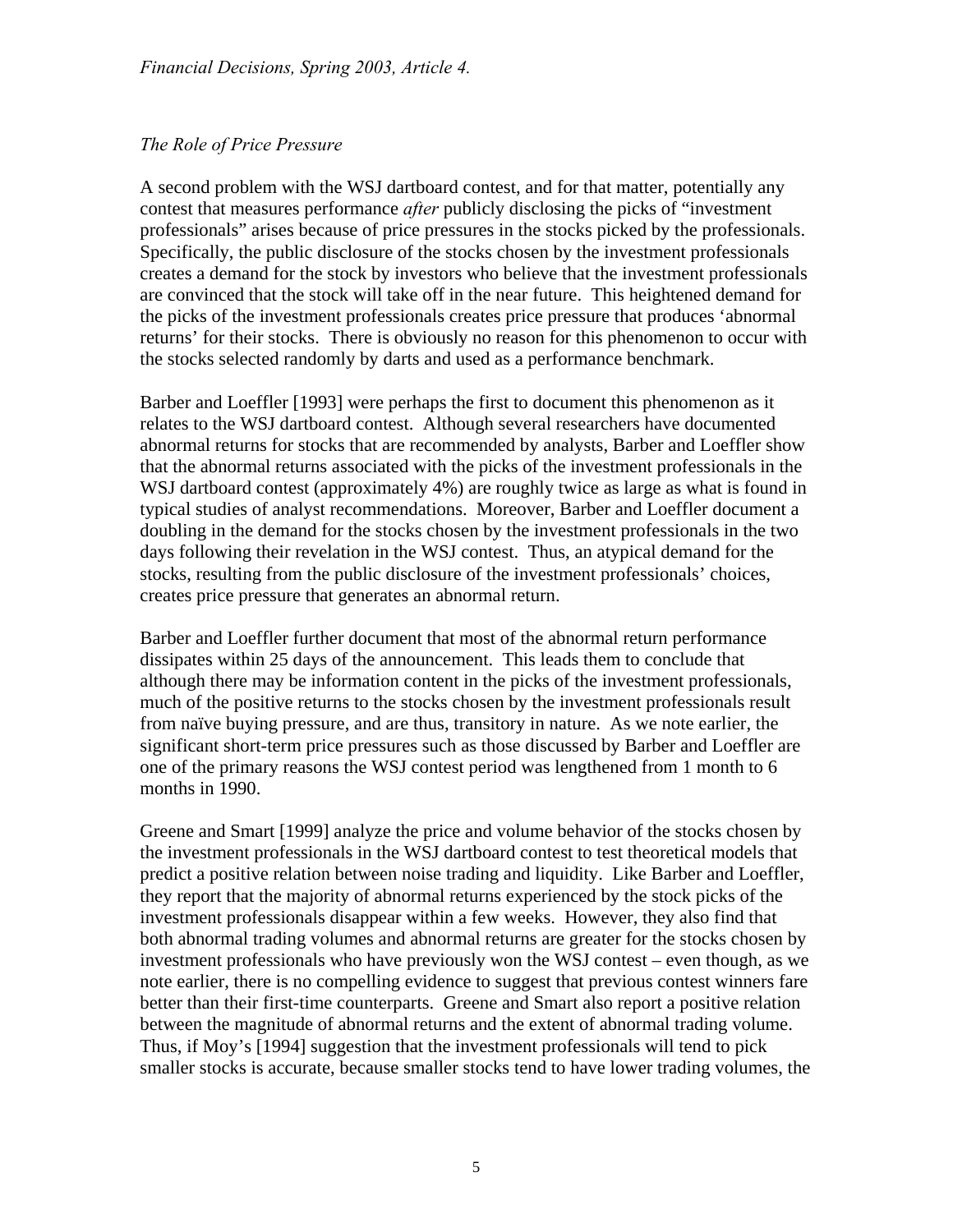# *The Role of Price Pressure*

A second problem with the WSJ dartboard contest, and for that matter, potentially any contest that measures performance *after* publicly disclosing the picks of "investment professionals" arises because of price pressures in the stocks picked by the professionals. Specifically, the public disclosure of the stocks chosen by the investment professionals creates a demand for the stock by investors who believe that the investment professionals are convinced that the stock will take off in the near future. This heightened demand for the picks of the investment professionals creates price pressure that produces 'abnormal returns' for their stocks. There is obviously no reason for this phenomenon to occur with the stocks selected randomly by darts and used as a performance benchmark.

Barber and Loeffler [1993] were perhaps the first to document this phenomenon as it relates to the WSJ dartboard contest. Although several researchers have documented abnormal returns for stocks that are recommended by analysts, Barber and Loeffler show that the abnormal returns associated with the picks of the investment professionals in the WSJ dartboard contest (approximately 4%) are roughly twice as large as what is found in typical studies of analyst recommendations. Moreover, Barber and Loeffler document a doubling in the demand for the stocks chosen by the investment professionals in the two days following their revelation in the WSJ contest. Thus, an atypical demand for the stocks, resulting from the public disclosure of the investment professionals' choices, creates price pressure that generates an abnormal return.

Barber and Loeffler further document that most of the abnormal return performance dissipates within 25 days of the announcement. This leads them to conclude that although there may be information content in the picks of the investment professionals, much of the positive returns to the stocks chosen by the investment professionals result from naïve buying pressure, and are thus, transitory in nature. As we note earlier, the significant short-term price pressures such as those discussed by Barber and Loeffler are one of the primary reasons the WSJ contest period was lengthened from 1 month to 6 months in 1990.

Greene and Smart [1999] analyze the price and volume behavior of the stocks chosen by the investment professionals in the WSJ dartboard contest to test theoretical models that predict a positive relation between noise trading and liquidity. Like Barber and Loeffler, they report that the majority of abnormal returns experienced by the stock picks of the investment professionals disappear within a few weeks. However, they also find that both abnormal trading volumes and abnormal returns are greater for the stocks chosen by investment professionals who have previously won the WSJ contest – even though, as we note earlier, there is no compelling evidence to suggest that previous contest winners fare better than their first-time counterparts. Greene and Smart also report a positive relation between the magnitude of abnormal returns and the extent of abnormal trading volume. Thus, if Moy's [1994] suggestion that the investment professionals will tend to pick smaller stocks is accurate, because smaller stocks tend to have lower trading volumes, the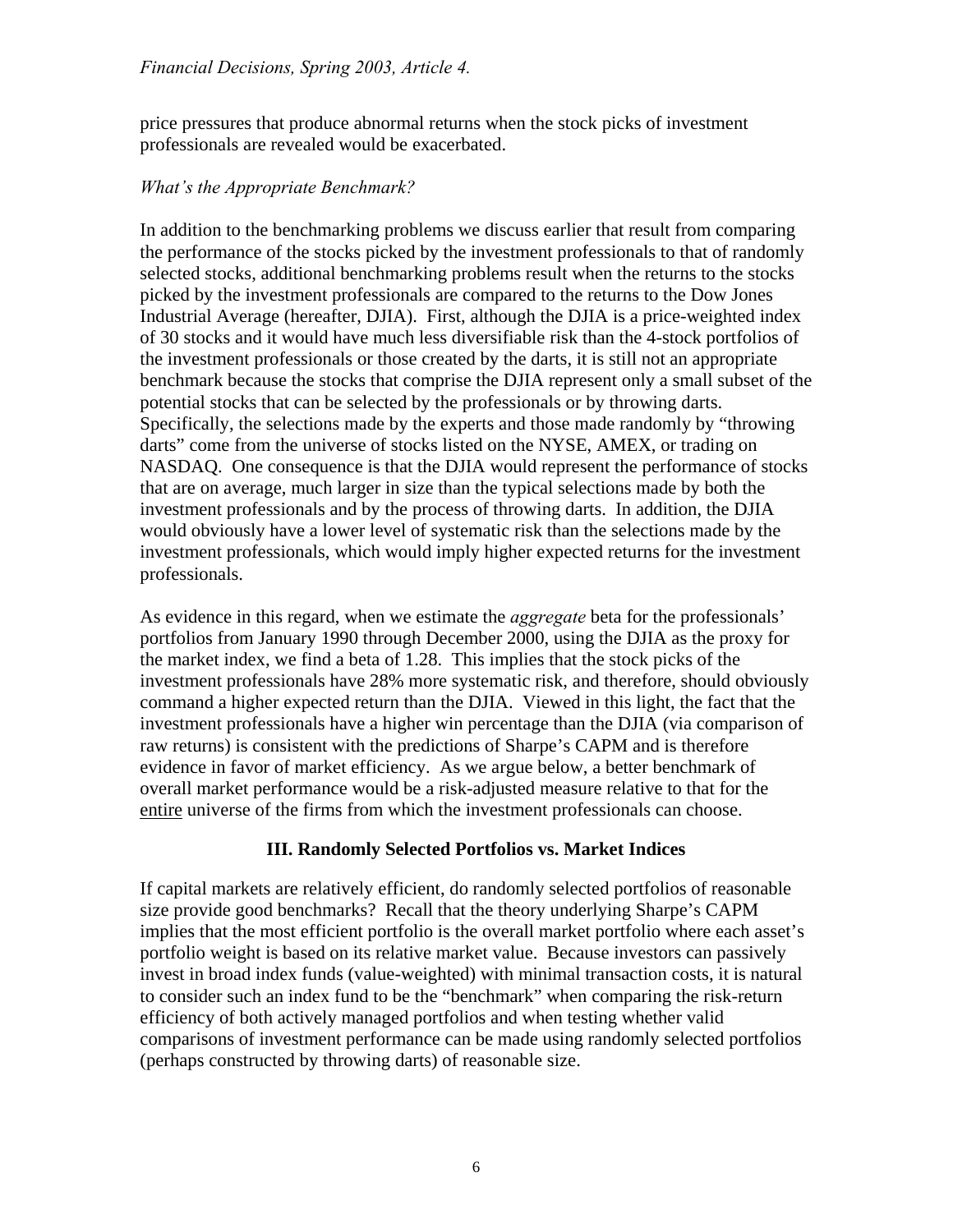price pressures that produce abnormal returns when the stock picks of investment professionals are revealed would be exacerbated.

### *What's the Appropriate Benchmark?*

In addition to the benchmarking problems we discuss earlier that result from comparing the performance of the stocks picked by the investment professionals to that of randomly selected stocks, additional benchmarking problems result when the returns to the stocks picked by the investment professionals are compared to the returns to the Dow Jones Industrial Average (hereafter, DJIA). First, although the DJIA is a price-weighted index of 30 stocks and it would have much less diversifiable risk than the 4-stock portfolios of the investment professionals or those created by the darts, it is still not an appropriate benchmark because the stocks that comprise the DJIA represent only a small subset of the potential stocks that can be selected by the professionals or by throwing darts. Specifically, the selections made by the experts and those made randomly by "throwing darts" come from the universe of stocks listed on the NYSE, AMEX, or trading on NASDAQ. One consequence is that the DJIA would represent the performance of stocks that are on average, much larger in size than the typical selections made by both the investment professionals and by the process of throwing darts. In addition, the DJIA would obviously have a lower level of systematic risk than the selections made by the investment professionals, which would imply higher expected returns for the investment professionals.

As evidence in this regard, when we estimate the *aggregate* beta for the professionals' portfolios from January 1990 through December 2000, using the DJIA as the proxy for the market index, we find a beta of 1.28. This implies that the stock picks of the investment professionals have 28% more systematic risk, and therefore, should obviously command a higher expected return than the DJIA. Viewed in this light, the fact that the investment professionals have a higher win percentage than the DJIA (via comparison of raw returns) is consistent with the predictions of Sharpe's CAPM and is therefore evidence in favor of market efficiency. As we argue below, a better benchmark of overall market performance would be a risk-adjusted measure relative to that for the entire universe of the firms from which the investment professionals can choose.

## **III. Randomly Selected Portfolios vs. Market Indices**

If capital markets are relatively efficient, do randomly selected portfolios of reasonable size provide good benchmarks? Recall that the theory underlying Sharpe's CAPM implies that the most efficient portfolio is the overall market portfolio where each asset's portfolio weight is based on its relative market value. Because investors can passively invest in broad index funds (value-weighted) with minimal transaction costs, it is natural to consider such an index fund to be the "benchmark" when comparing the risk-return efficiency of both actively managed portfolios and when testing whether valid comparisons of investment performance can be made using randomly selected portfolios (perhaps constructed by throwing darts) of reasonable size.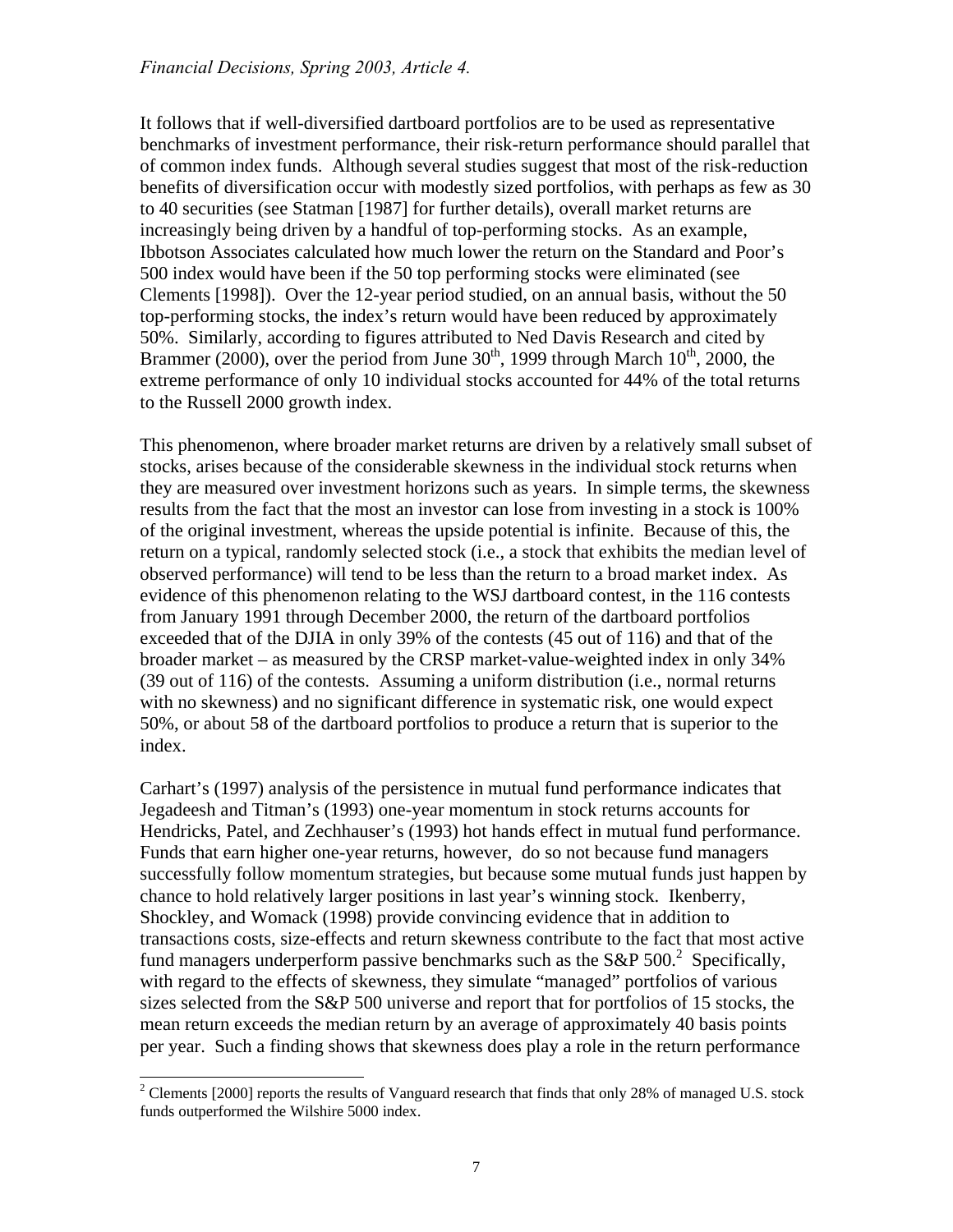It follows that if well-diversified dartboard portfolios are to be used as representative benchmarks of investment performance, their risk-return performance should parallel that of common index funds. Although several studies suggest that most of the risk-reduction benefits of diversification occur with modestly sized portfolios, with perhaps as few as 30 to 40 securities (see Statman [1987] for further details), overall market returns are increasingly being driven by a handful of top-performing stocks. As an example, Ibbotson Associates calculated how much lower the return on the Standard and Poor's 500 index would have been if the 50 top performing stocks were eliminated (see Clements [1998]). Over the 12-year period studied, on an annual basis, without the 50 top-performing stocks, the index's return would have been reduced by approximately 50%. Similarly, according to figures attributed to Ned Davis Research and cited by Brammer (2000), over the period from June  $30<sup>th</sup>$ , 1999 through March  $10<sup>th</sup>$ , 2000, the extreme performance of only 10 individual stocks accounted for 44% of the total returns to the Russell 2000 growth index.

This phenomenon, where broader market returns are driven by a relatively small subset of stocks, arises because of the considerable skewness in the individual stock returns when they are measured over investment horizons such as years. In simple terms, the skewness results from the fact that the most an investor can lose from investing in a stock is 100% of the original investment, whereas the upside potential is infinite. Because of this, the return on a typical, randomly selected stock (i.e., a stock that exhibits the median level of observed performance) will tend to be less than the return to a broad market index. As evidence of this phenomenon relating to the WSJ dartboard contest, in the 116 contests from January 1991 through December 2000, the return of the dartboard portfolios exceeded that of the DJIA in only 39% of the contests (45 out of 116) and that of the broader market – as measured by the CRSP market-value-weighted index in only 34% (39 out of 116) of the contests. Assuming a uniform distribution (i.e., normal returns with no skewness) and no significant difference in systematic risk, one would expect 50%, or about 58 of the dartboard portfolios to produce a return that is superior to the index.

Carhart's (1997) analysis of the persistence in mutual fund performance indicates that Jegadeesh and Titman's (1993) one-year momentum in stock returns accounts for Hendricks, Patel, and Zechhauser's (1993) hot hands effect in mutual fund performance. Funds that earn higher one-year returns, however, do so not because fund managers successfully follow momentum strategies, but because some mutual funds just happen by chance to hold relatively larger positions in last year's winning stock. Ikenberry, Shockley, and Womack (1998) provide convincing evidence that in addition to transactions costs, size-effects and return skewness contribute to the fact that most active fund managers underperform passive benchmarks such as the S&P 500.<sup>[2](#page-6-0)</sup> Specifically, with regard to the effects of skewness, they simulate "managed" portfolios of various sizes selected from the S&P 500 universe and report that for portfolios of 15 stocks, the mean return exceeds the median return by an average of approximately 40 basis points per year. Such a finding shows that skewness does play a role in the return performance

<span id="page-6-0"></span> $\frac{1}{2}$ <sup>2</sup> Clements [2000] reports the results of Vanguard research that finds that only 28% of managed U.S. stock funds outperformed the Wilshire 5000 index.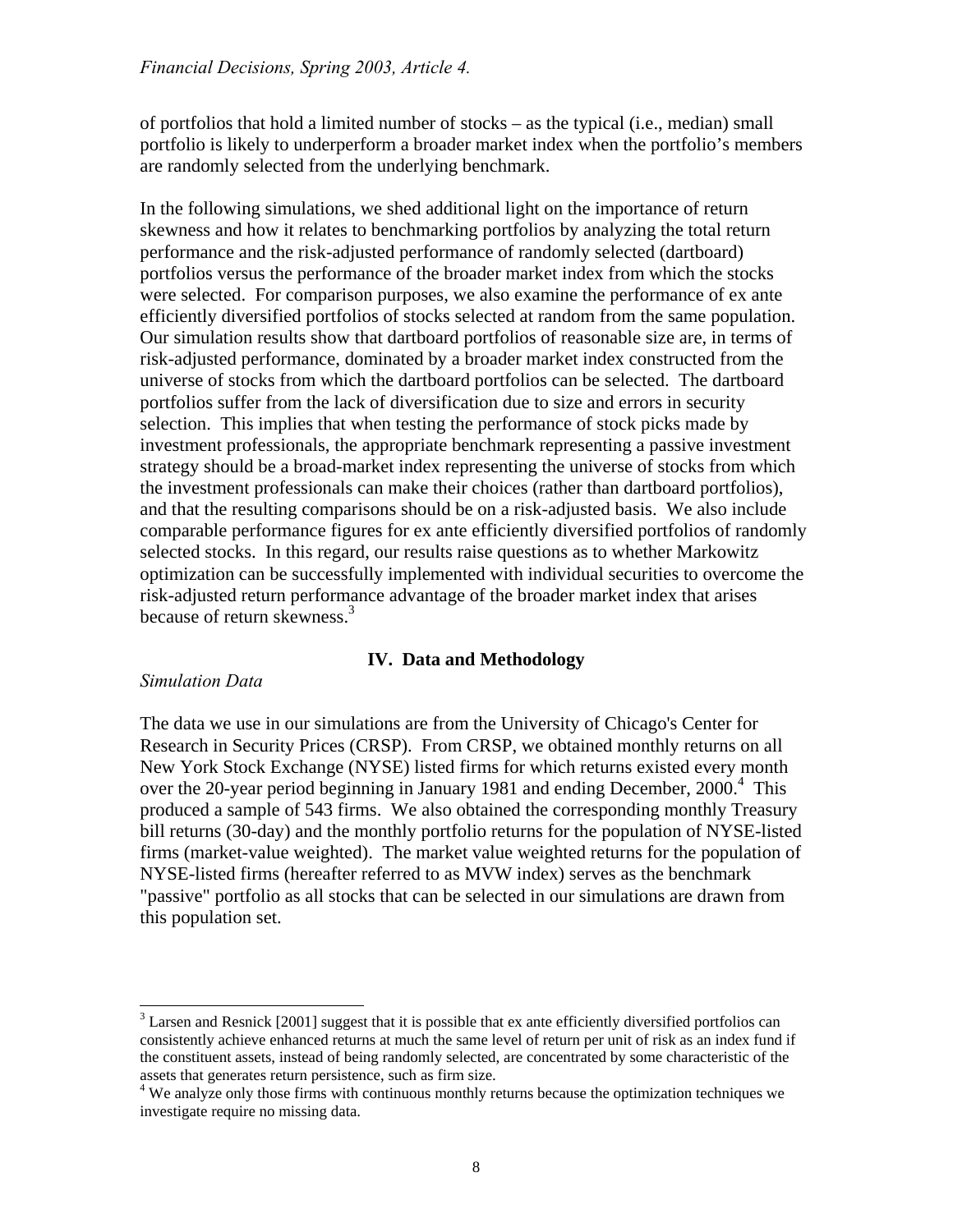of portfolios that hold a limited number of stocks – as the typical (i.e., median) small portfolio is likely to underperform a broader market index when the portfolio's members are randomly selected from the underlying benchmark.

In the following simulations, we shed additional light on the importance of return skewness and how it relates to benchmarking portfolios by analyzing the total return performance and the risk-adjusted performance of randomly selected (dartboard) portfolios versus the performance of the broader market index from which the stocks were selected. For comparison purposes, we also examine the performance of ex ante efficiently diversified portfolios of stocks selected at random from the same population. Our simulation results show that dartboard portfolios of reasonable size are, in terms of risk-adjusted performance, dominated by a broader market index constructed from the universe of stocks from which the dartboard portfolios can be selected. The dartboard portfolios suffer from the lack of diversification due to size and errors in security selection. This implies that when testing the performance of stock picks made by investment professionals, the appropriate benchmark representing a passive investment strategy should be a broad-market index representing the universe of stocks from which the investment professionals can make their choices (rather than dartboard portfolios), and that the resulting comparisons should be on a risk-adjusted basis. We also include comparable performance figures for ex ante efficiently diversified portfolios of randomly selected stocks. In this regard, our results raise questions as to whether Markowitz optimization can be successfully implemented with individual securities to overcome the risk-adjusted return performance advantage of the broader market index that arises because of return skewness.<sup>[3](#page-7-0)</sup>

### **IV. Data and Methodology**

### *Simulation Data*

The data we use in our simulations are from the University of Chicago's Center for Research in Security Prices (CRSP). From CRSP, we obtained monthly returns on all New York Stock Exchange (NYSE) listed firms for which returns existed every month over the 20-year period beginning in January 1981 and ending December, 2000.<sup>[4](#page-7-1)</sup> This produced a sample of 543 firms. We also obtained the corresponding monthly Treasury bill returns (30-day) and the monthly portfolio returns for the population of NYSE-listed firms (market-value weighted). The market value weighted returns for the population of NYSE-listed firms (hereafter referred to as MVW index) serves as the benchmark "passive" portfolio as all stocks that can be selected in our simulations are drawn from this population set.

<span id="page-7-0"></span><sup>&</sup>lt;sup>2</sup><br>3 <sup>3</sup> Larsen and Resnick [2001] suggest that it is possible that ex ante efficiently diversified portfolios can consistently achieve enhanced returns at much the same level of return per unit of risk as an index fund if the constituent assets, instead of being randomly selected, are concentrated by some characteristic of the assets that generates return persistence, such as firm size.<br><sup>4</sup> We analyze only those firms with continuous monthly returns because the optimization techniques we

<span id="page-7-1"></span>investigate require no missing data.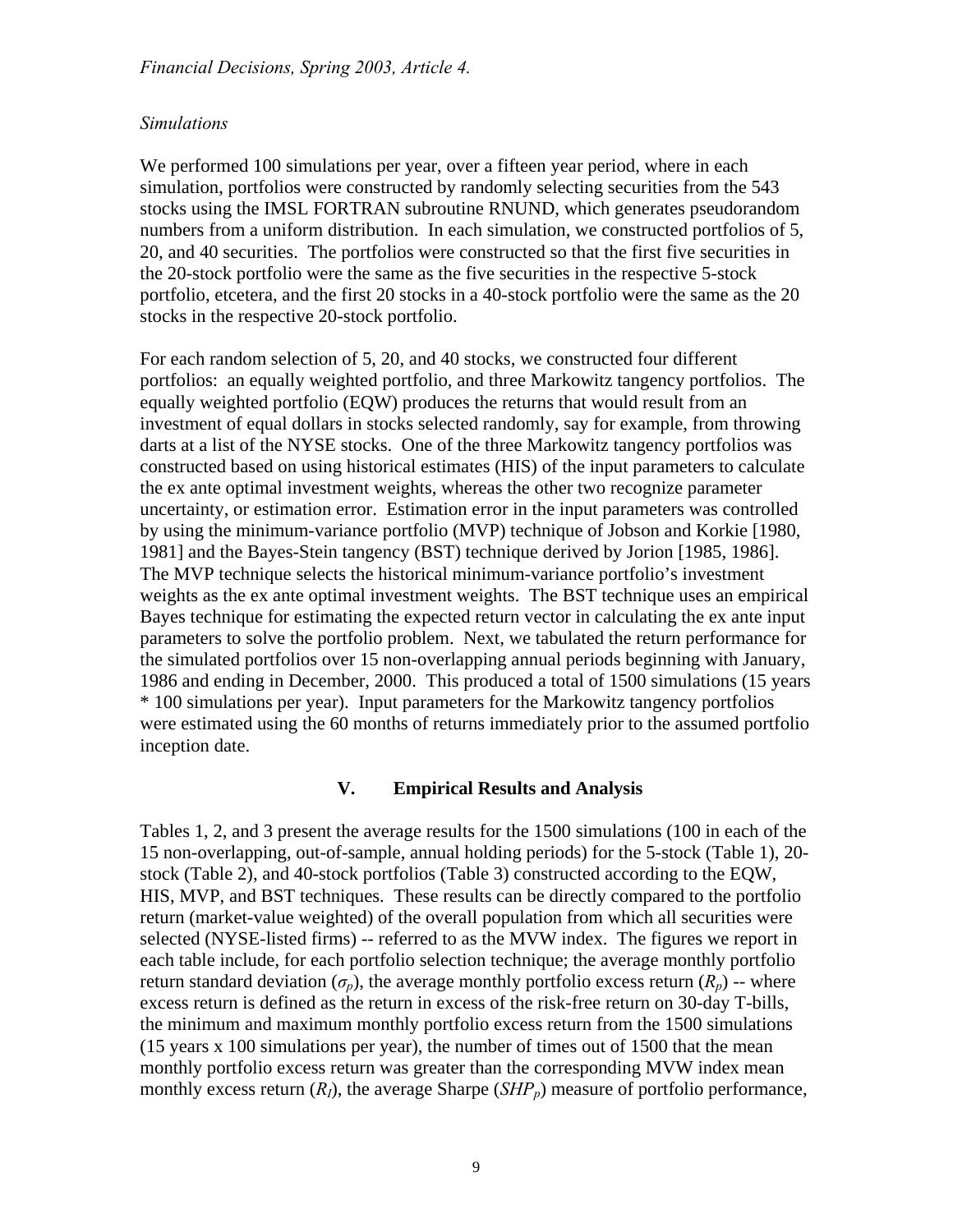#### *Simulations*

We performed 100 simulations per year, over a fifteen year period, where in each simulation, portfolios were constructed by randomly selecting securities from the 543 stocks using the IMSL FORTRAN subroutine RNUND, which generates pseudorandom numbers from a uniform distribution. In each simulation, we constructed portfolios of 5, 20, and 40 securities. The portfolios were constructed so that the first five securities in the 20-stock portfolio were the same as the five securities in the respective 5-stock portfolio, etcetera, and the first 20 stocks in a 40-stock portfolio were the same as the 20 stocks in the respective 20-stock portfolio.

For each random selection of 5, 20, and 40 stocks, we constructed four different portfolios: an equally weighted portfolio, and three Markowitz tangency portfolios. The equally weighted portfolio (EQW) produces the returns that would result from an investment of equal dollars in stocks selected randomly, say for example, from throwing darts at a list of the NYSE stocks. One of the three Markowitz tangency portfolios was constructed based on using historical estimates (HIS) of the input parameters to calculate the ex ante optimal investment weights, whereas the other two recognize parameter uncertainty, or estimation error. Estimation error in the input parameters was controlled by using the minimum-variance portfolio (MVP) technique of Jobson and Korkie [1980, 1981] and the Bayes-Stein tangency (BST) technique derived by Jorion [1985, 1986]. The MVP technique selects the historical minimum-variance portfolio's investment weights as the ex ante optimal investment weights. The BST technique uses an empirical Bayes technique for estimating the expected return vector in calculating the ex ante input parameters to solve the portfolio problem. Next, we tabulated the return performance for the simulated portfolios over 15 non-overlapping annual periods beginning with January, 1986 and ending in December, 2000. This produced a total of 1500 simulations (15 years \* 100 simulations per year). Input parameters for the Markowitz tangency portfolios were estimated using the 60 months of returns immediately prior to the assumed portfolio inception date.

### **V. Empirical Results and Analysis**

Tables 1, 2, and 3 present the average results for the 1500 simulations (100 in each of the 15 non-overlapping, out-of-sample, annual holding periods) for the 5-stock (Table 1), 20 stock (Table 2), and 40-stock portfolios (Table 3) constructed according to the EQW, HIS, MVP, and BST techniques. These results can be directly compared to the portfolio return (market-value weighted) of the overall population from which all securities were selected (NYSE-listed firms) -- referred to as the MVW index. The figures we report in each table include, for each portfolio selection technique; the average monthly portfolio return standard deviation  $(\sigma_p)$ , the average monthly portfolio excess return  $(R_p)$  -- where excess return is defined as the return in excess of the risk-free return on 30-day T-bills, the minimum and maximum monthly portfolio excess return from the 1500 simulations (15 years x 100 simulations per year), the number of times out of 1500 that the mean monthly portfolio excess return was greater than the corresponding MVW index mean monthly excess return  $(R_l)$ , the average Sharpe  $(SHP_p)$  measure of portfolio performance,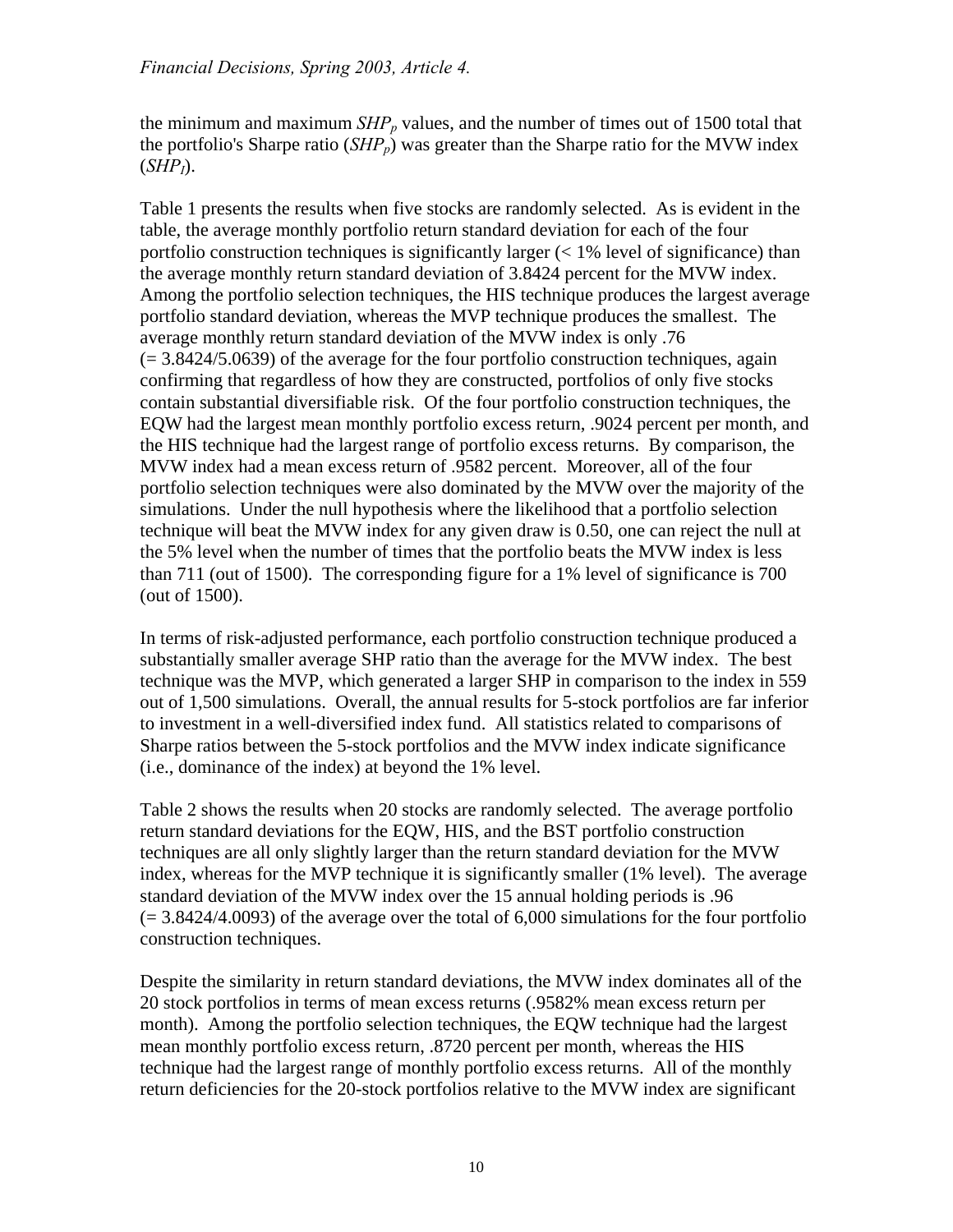the minimum and maximum  $SHP_p$  values, and the number of times out of 1500 total that the portfolio's Sharpe ratio  $(SHP_p)$  was greater than the Sharpe ratio for the MVW index  $(SHP<sub>I</sub>)$ .

Table 1 presents the results when five stocks are randomly selected. As is evident in the table, the average monthly portfolio return standard deviation for each of the four portfolio construction techniques is significantly larger  $(< 1\%$  level of significance) than the average monthly return standard deviation of 3.8424 percent for the MVW index. Among the portfolio selection techniques, the HIS technique produces the largest average portfolio standard deviation, whereas the MVP technique produces the smallest. The average monthly return standard deviation of the MVW index is only .76  $(= 3.8424/5.0639)$  of the average for the four portfolio construction techniques, again confirming that regardless of how they are constructed, portfolios of only five stocks contain substantial diversifiable risk. Of the four portfolio construction techniques, the EQW had the largest mean monthly portfolio excess return, .9024 percent per month, and the HIS technique had the largest range of portfolio excess returns. By comparison, the MVW index had a mean excess return of .9582 percent. Moreover, all of the four portfolio selection techniques were also dominated by the MVW over the majority of the simulations. Under the null hypothesis where the likelihood that a portfolio selection technique will beat the MVW index for any given draw is 0.50, one can reject the null at the 5% level when the number of times that the portfolio beats the MVW index is less than 711 (out of 1500). The corresponding figure for a 1% level of significance is 700 (out of 1500).

In terms of risk-adjusted performance, each portfolio construction technique produced a substantially smaller average SHP ratio than the average for the MVW index. The best technique was the MVP, which generated a larger SHP in comparison to the index in 559 out of 1,500 simulations. Overall, the annual results for 5-stock portfolios are far inferior to investment in a well-diversified index fund. All statistics related to comparisons of Sharpe ratios between the 5-stock portfolios and the MVW index indicate significance (i.e., dominance of the index) at beyond the 1% level.

Table 2 shows the results when 20 stocks are randomly selected. The average portfolio return standard deviations for the EQW, HIS, and the BST portfolio construction techniques are all only slightly larger than the return standard deviation for the MVW index, whereas for the MVP technique it is significantly smaller (1% level). The average standard deviation of the MVW index over the 15 annual holding periods is .96  $(= 3.8424/4.0093)$  of the average over the total of 6,000 simulations for the four portfolio construction techniques.

Despite the similarity in return standard deviations, the MVW index dominates all of the 20 stock portfolios in terms of mean excess returns (.9582% mean excess return per month). Among the portfolio selection techniques, the EQW technique had the largest mean monthly portfolio excess return, .8720 percent per month, whereas the HIS technique had the largest range of monthly portfolio excess returns. All of the monthly return deficiencies for the 20-stock portfolios relative to the MVW index are significant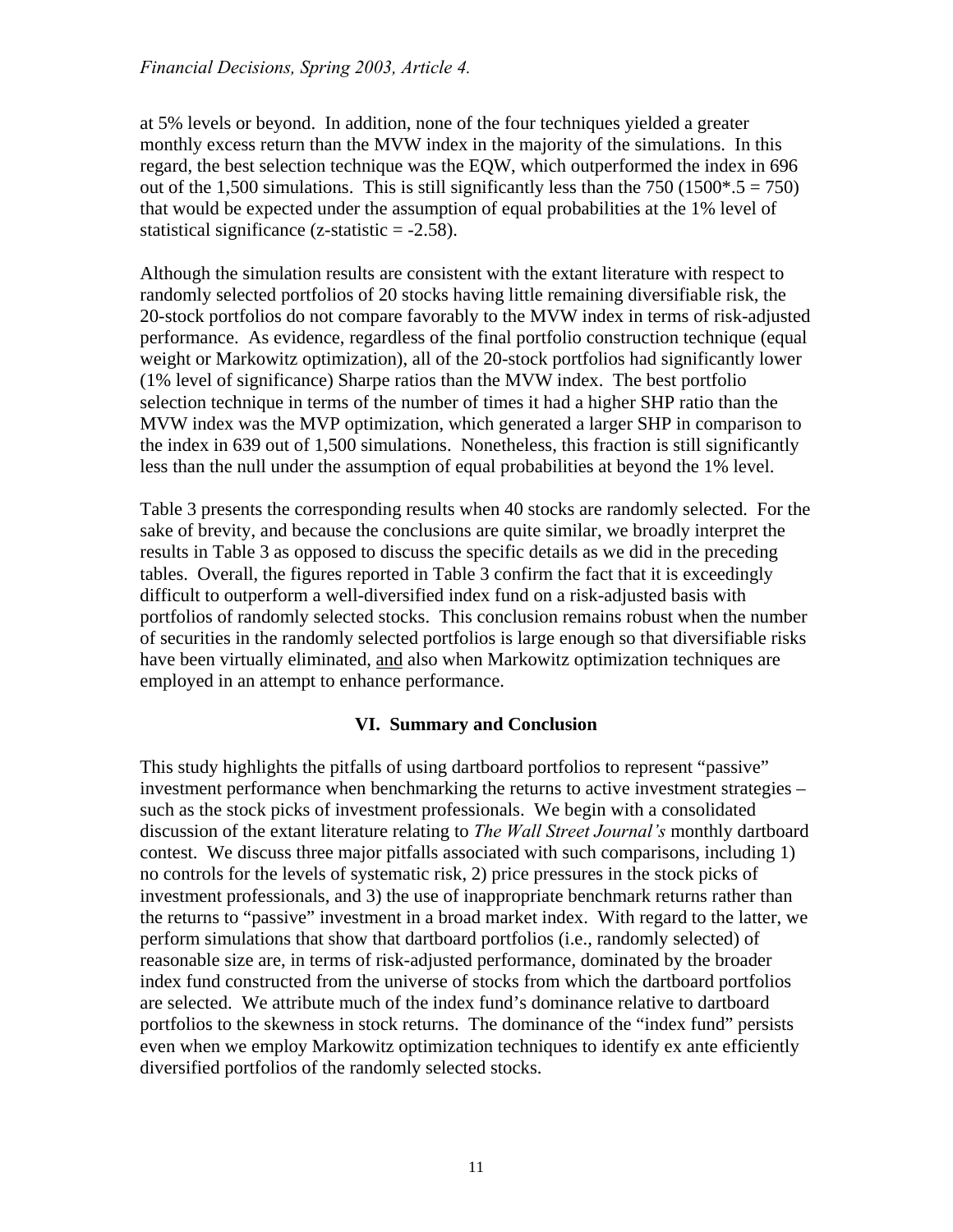at 5% levels or beyond. In addition, none of the four techniques yielded a greater monthly excess return than the MVW index in the majority of the simulations. In this regard, the best selection technique was the EQW, which outperformed the index in 696 out of the 1,500 simulations. This is still significantly less than the 750 (1500 $*$ .5 = 750) that would be expected under the assumption of equal probabilities at the 1% level of statistical significance (z-statistic  $= -2.58$ ).

Although the simulation results are consistent with the extant literature with respect to randomly selected portfolios of 20 stocks having little remaining diversifiable risk, the 20-stock portfolios do not compare favorably to the MVW index in terms of risk-adjusted performance. As evidence, regardless of the final portfolio construction technique (equal weight or Markowitz optimization), all of the 20-stock portfolios had significantly lower (1% level of significance) Sharpe ratios than the MVW index. The best portfolio selection technique in terms of the number of times it had a higher SHP ratio than the MVW index was the MVP optimization, which generated a larger SHP in comparison to the index in 639 out of 1,500 simulations. Nonetheless, this fraction is still significantly less than the null under the assumption of equal probabilities at beyond the 1% level.

Table 3 presents the corresponding results when 40 stocks are randomly selected. For the sake of brevity, and because the conclusions are quite similar, we broadly interpret the results in Table 3 as opposed to discuss the specific details as we did in the preceding tables. Overall, the figures reported in Table 3 confirm the fact that it is exceedingly difficult to outperform a well-diversified index fund on a risk-adjusted basis with portfolios of randomly selected stocks. This conclusion remains robust when the number of securities in the randomly selected portfolios is large enough so that diversifiable risks have been virtually eliminated, and also when Markowitz optimization techniques are employed in an attempt to enhance performance.

#### **VI. Summary and Conclusion**

This study highlights the pitfalls of using dartboard portfolios to represent "passive" investment performance when benchmarking the returns to active investment strategies – such as the stock picks of investment professionals. We begin with a consolidated discussion of the extant literature relating to *The Wall Street Journal's* monthly dartboard contest. We discuss three major pitfalls associated with such comparisons, including 1) no controls for the levels of systematic risk, 2) price pressures in the stock picks of investment professionals, and 3) the use of inappropriate benchmark returns rather than the returns to "passive" investment in a broad market index. With regard to the latter, we perform simulations that show that dartboard portfolios (i.e., randomly selected) of reasonable size are, in terms of risk-adjusted performance, dominated by the broader index fund constructed from the universe of stocks from which the dartboard portfolios are selected. We attribute much of the index fund's dominance relative to dartboard portfolios to the skewness in stock returns. The dominance of the "index fund" persists even when we employ Markowitz optimization techniques to identify ex ante efficiently diversified portfolios of the randomly selected stocks.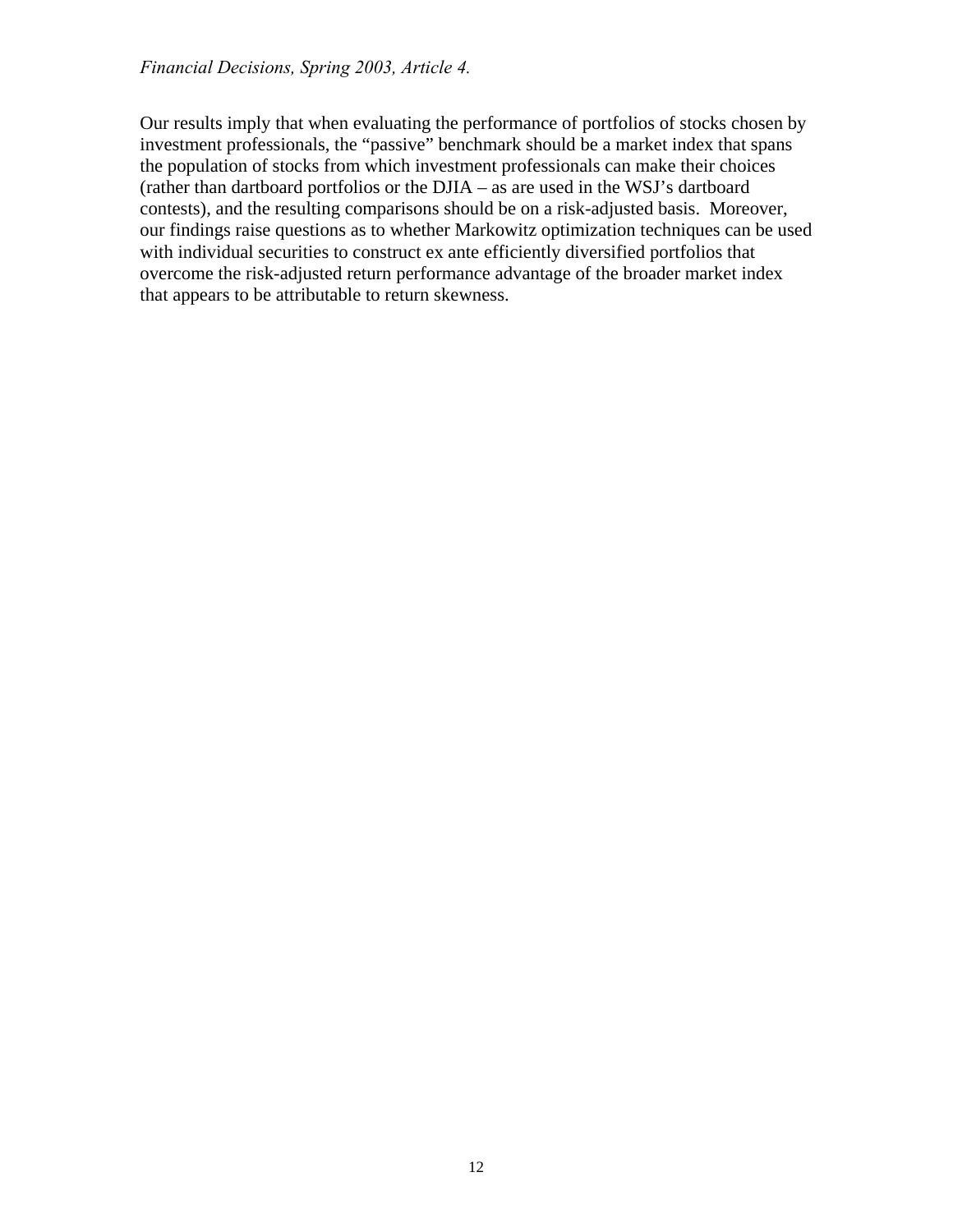Our results imply that when evaluating the performance of portfolios of stocks chosen by investment professionals, the "passive" benchmark should be a market index that spans the population of stocks from which investment professionals can make their choices (rather than dartboard portfolios or the DJIA – as are used in the WSJ's dartboard contests), and the resulting comparisons should be on a risk-adjusted basis. Moreover, our findings raise questions as to whether Markowitz optimization techniques can be used with individual securities to construct ex ante efficiently diversified portfolios that overcome the risk-adjusted return performance advantage of the broader market index that appears to be attributable to return skewness.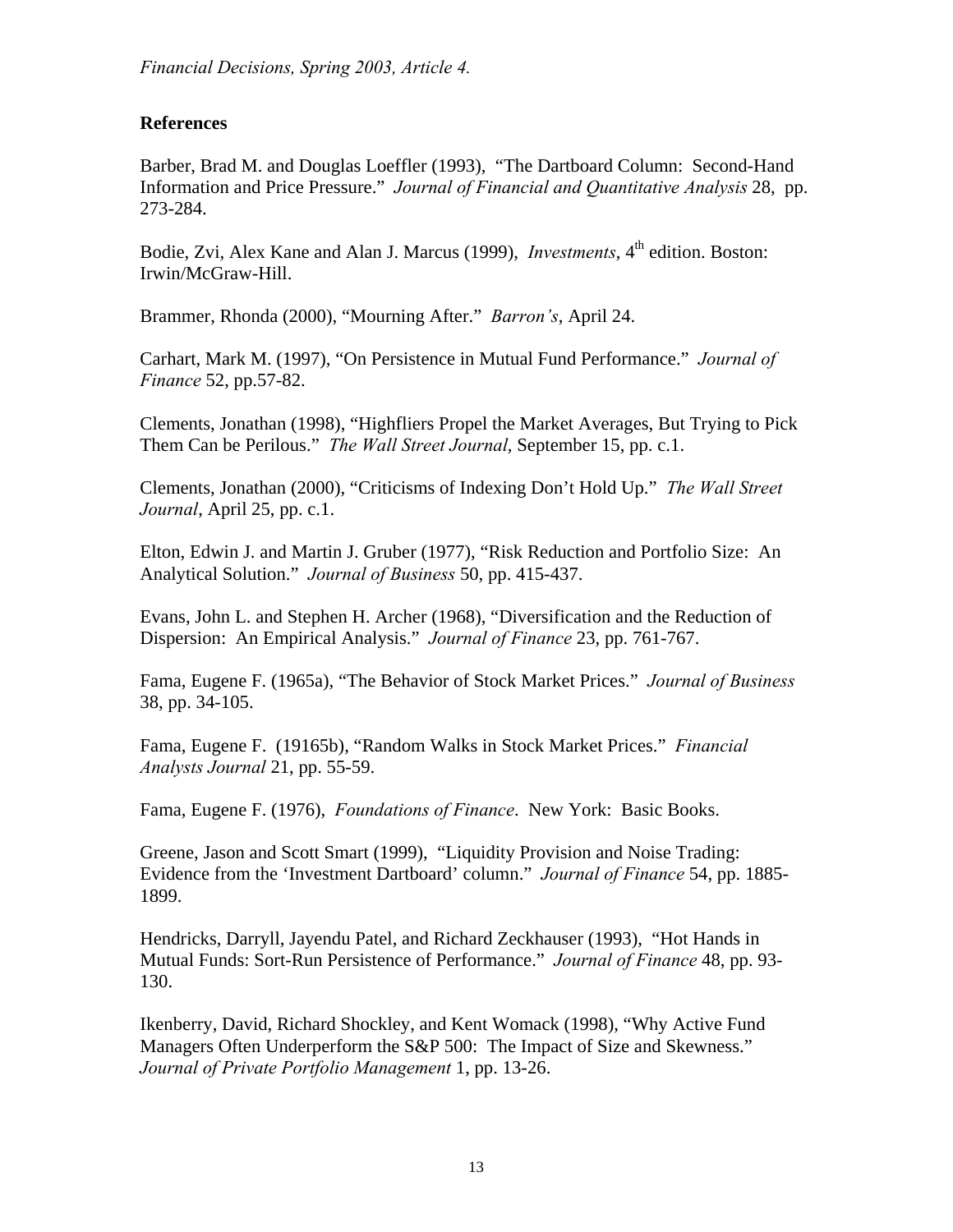## **References**

Barber, Brad M. and Douglas Loeffler (1993), "The Dartboard Column: Second-Hand Information and Price Pressure." *Journal of Financial and Quantitative Analysis* 28, pp. 273-284.

Bodie, Zvi, Alex Kane and Alan J. Marcus (1999), *Investments*, 4<sup>th</sup> edition. Boston: Irwin/McGraw-Hill.

Brammer, Rhonda (2000), "Mourning After." *Barron's*, April 24.

Carhart, Mark M. (1997), "On Persistence in Mutual Fund Performance." *Journal of Finance* 52, pp.57-82.

Clements, Jonathan (1998), "Highfliers Propel the Market Averages, But Trying to Pick Them Can be Perilous." *The Wall Street Journal*, September 15, pp. c.1.

Clements, Jonathan (2000), "Criticisms of Indexing Don't Hold Up." *The Wall Street Journal*, April 25, pp. c.1.

Elton, Edwin J. and Martin J. Gruber (1977), "Risk Reduction and Portfolio Size: An Analytical Solution." *Journal of Business* 50, pp. 415-437.

Evans, John L. and Stephen H. Archer (1968), "Diversification and the Reduction of Dispersion: An Empirical Analysis." *Journal of Finance* 23, pp. 761-767.

Fama, Eugene F. (1965a), "The Behavior of Stock Market Prices." *Journal of Business* 38, pp. 34-105.

Fama, Eugene F. (19165b), "Random Walks in Stock Market Prices." *Financial Analysts Journal* 21, pp. 55-59.

Fama, Eugene F. (1976), *Foundations of Finance*. New York: Basic Books.

Greene, Jason and Scott Smart (1999), "Liquidity Provision and Noise Trading: Evidence from the 'Investment Dartboard' column." *Journal of Finance* 54, pp. 1885- 1899.

Hendricks, Darryll, Jayendu Patel, and Richard Zeckhauser (1993), "Hot Hands in Mutual Funds: Sort-Run Persistence of Performance." *Journal of Finance* 48, pp. 93- 130.

Ikenberry, David, Richard Shockley, and Kent Womack (1998), "Why Active Fund Managers Often Underperform the S&P 500: The Impact of Size and Skewness." *Journal of Private Portfolio Management* 1, pp. 13-26.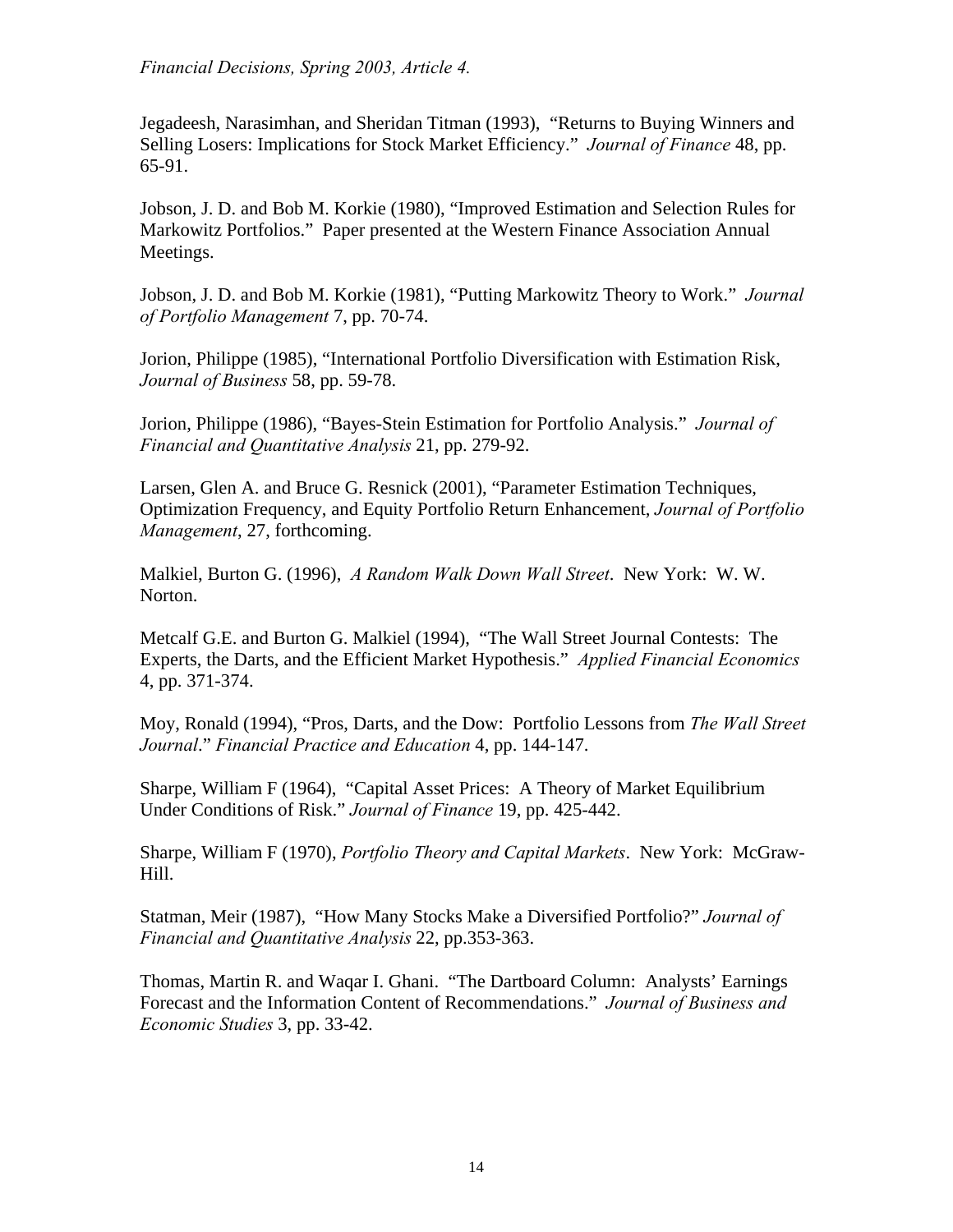Jegadeesh, Narasimhan, and Sheridan Titman (1993), "Returns to Buying Winners and Selling Losers: Implications for Stock Market Efficiency." *Journal of Finance* 48, pp. 65-91.

Jobson, J. D. and Bob M. Korkie (1980), "Improved Estimation and Selection Rules for Markowitz Portfolios." Paper presented at the Western Finance Association Annual Meetings.

Jobson, J. D. and Bob M. Korkie (1981), "Putting Markowitz Theory to Work." *Journal of Portfolio Management* 7, pp. 70-74.

Jorion, Philippe (1985), "International Portfolio Diversification with Estimation Risk, *Journal of Business* 58, pp. 59-78.

Jorion, Philippe (1986), "Bayes-Stein Estimation for Portfolio Analysis." *Journal of Financial and Quantitative Analysis* 21, pp. 279-92.

Larsen, Glen A. and Bruce G. Resnick (2001), "Parameter Estimation Techniques, Optimization Frequency, and Equity Portfolio Return Enhancement, *Journal of Portfolio Management*, 27, forthcoming.

Malkiel, Burton G. (1996), *A Random Walk Down Wall Street*. New York: W. W. Norton.

Metcalf G.E. and Burton G. Malkiel (1994), "The Wall Street Journal Contests: The Experts, the Darts, and the Efficient Market Hypothesis." *Applied Financial Economics* 4, pp. 371-374.

Moy, Ronald (1994), "Pros, Darts, and the Dow: Portfolio Lessons from *The Wall Street Journal*." *Financial Practice and Education* 4, pp. 144-147.

Sharpe, William F (1964), "Capital Asset Prices: A Theory of Market Equilibrium Under Conditions of Risk." *Journal of Finance* 19, pp. 425-442.

Sharpe, William F (1970), *Portfolio Theory and Capital Markets*. New York: McGraw-Hill.

Statman, Meir (1987), "How Many Stocks Make a Diversified Portfolio?" *Journal of Financial and Quantitative Analysis* 22, pp.353-363.

Thomas, Martin R. and Waqar I. Ghani. "The Dartboard Column: Analysts' Earnings Forecast and the Information Content of Recommendations." *Journal of Business and Economic Studies* 3, pp. 33-42.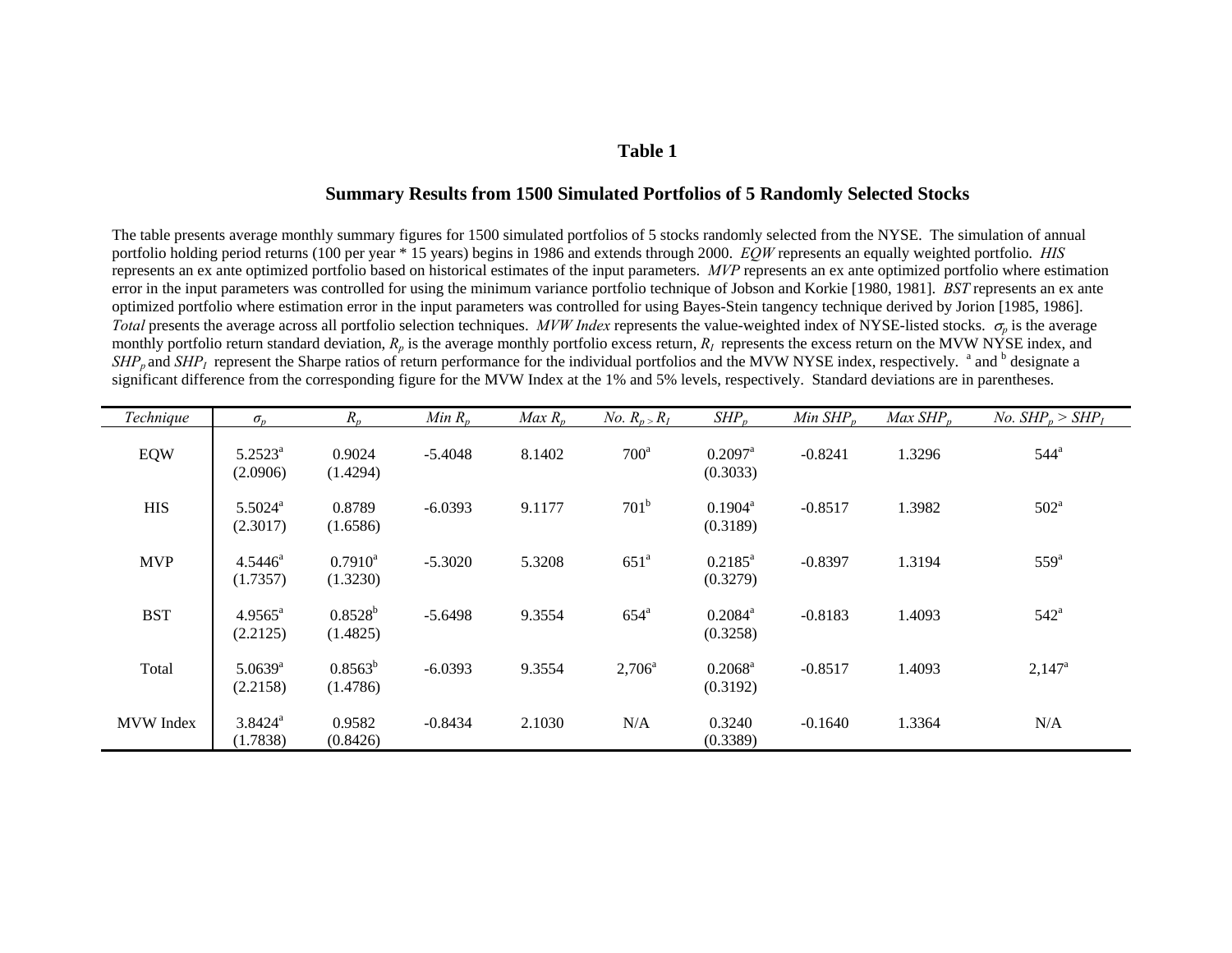#### **Table 1**

#### **Summary Results from 1500 Simulated Portfolios of 5 Randomly Selected Stocks**

The table presents average monthly summary figures for 1500 simulated portfolios of 5 stocks randomly selected from the NYSE. The simulation of annual portfolio holding period returns (100 per year \* 15 years) begins in 1986 and extends through 2000. *EQW* represents an equally weighted portfolio. *HIS* represents an ex ante optimized portfolio based on historical estimates of the input parameters. *MVP* represents an ex ante optimized portfolio where estimation error in the input parameters was controlled for using the minimum variance portfolio technique of Jobson and Korkie [1980, 1981]. *BST* represents an ex ante optimized portfolio where estimation error in the input parameters was controlled for using Bayes-Stein tangency technique derived by Jorion [1985, 1986]. *Total* presents the average across all portfolio selection techniques. *MVW Index* represents the value-weighted index of NYSE-listed stocks. <sup>σ</sup>*p* is the average monthly portfolio return standard deviation,  $R_p$  is the average monthly portfolio excess return,  $R_l$  represents the excess return on the MVW NYSE index, and  $SHP_p$  and  $SHP_I$  represent the Sharpe ratios of return performance for the individual portfolios and the MVW NYSE index, respectively. <sup>a</sup> and <sup>b</sup> designate a significant difference from the corresponding figure for the MVW Index at the 1% and 5% levels, respectively. Standard deviations are in parentheses.

| Technique        | $\sigma_{v}$                      | $R_p$                        | Min $R_n$ | $Max R_n$ | <i>No.</i> $R_n > R_I$ | $SHP_n$                           | Min $SHP_n$ | Max $SHP_n$ | <i>No.</i> $SHP_n > SHP_1$ |
|------------------|-----------------------------------|------------------------------|-----------|-----------|------------------------|-----------------------------------|-------------|-------------|----------------------------|
| EQW              | $5.2523^a$<br>(2.0906)            | 0.9024<br>(1.4294)           | $-5.4048$ | 8.1402    | $700^a$                | $0.2097$ <sup>a</sup><br>(0.3033) | $-0.8241$   | 1.3296      | $544^{\circ}$              |
| <b>HIS</b>       | $5.5024$ <sup>a</sup><br>(2.3017) | 0.8789<br>(1.6586)           | $-6.0393$ | 9.1177    | 701 <sup>b</sup>       | $0.1904^a$<br>(0.3189)            | $-0.8517$   | 1.3982      | $502^{\mathrm{a}}$         |
| <b>MVP</b>       | $4.5446^a$<br>(1.7357)            | $0.7910^{\rm a}$<br>(1.3230) | $-5.3020$ | 5.3208    | 651 <sup>a</sup>       | $0.2185^a$<br>(0.3279)            | $-0.8397$   | 1.3194      | $559^{\mathrm{a}}$         |
| <b>BST</b>       | $4.9565^{\circ}$<br>(2.2125)      | $0.8528^{b}$<br>(1.4825)     | $-5.6498$ | 9.3554    | $654^a$                | $0.2084^a$<br>(0.3258)            | $-0.8183$   | 1.4093      | $542^{\circ}$              |
| Total            | $5.0639$ <sup>a</sup><br>(2.2158) | $0.8563^b$<br>(1.4786)       | $-6.0393$ | 9.3554    | $2,706^{\circ}$        | $0.2068^{\rm a}$<br>(0.3192)      | $-0.8517$   | 1.4093      | $2,147^{\rm a}$            |
| <b>MVW</b> Index | $3.8424$ <sup>a</sup><br>(1.7838) | 0.9582<br>(0.8426)           | $-0.8434$ | 2.1030    | N/A                    | 0.3240<br>(0.3389)                | $-0.1640$   | 1.3364      | N/A                        |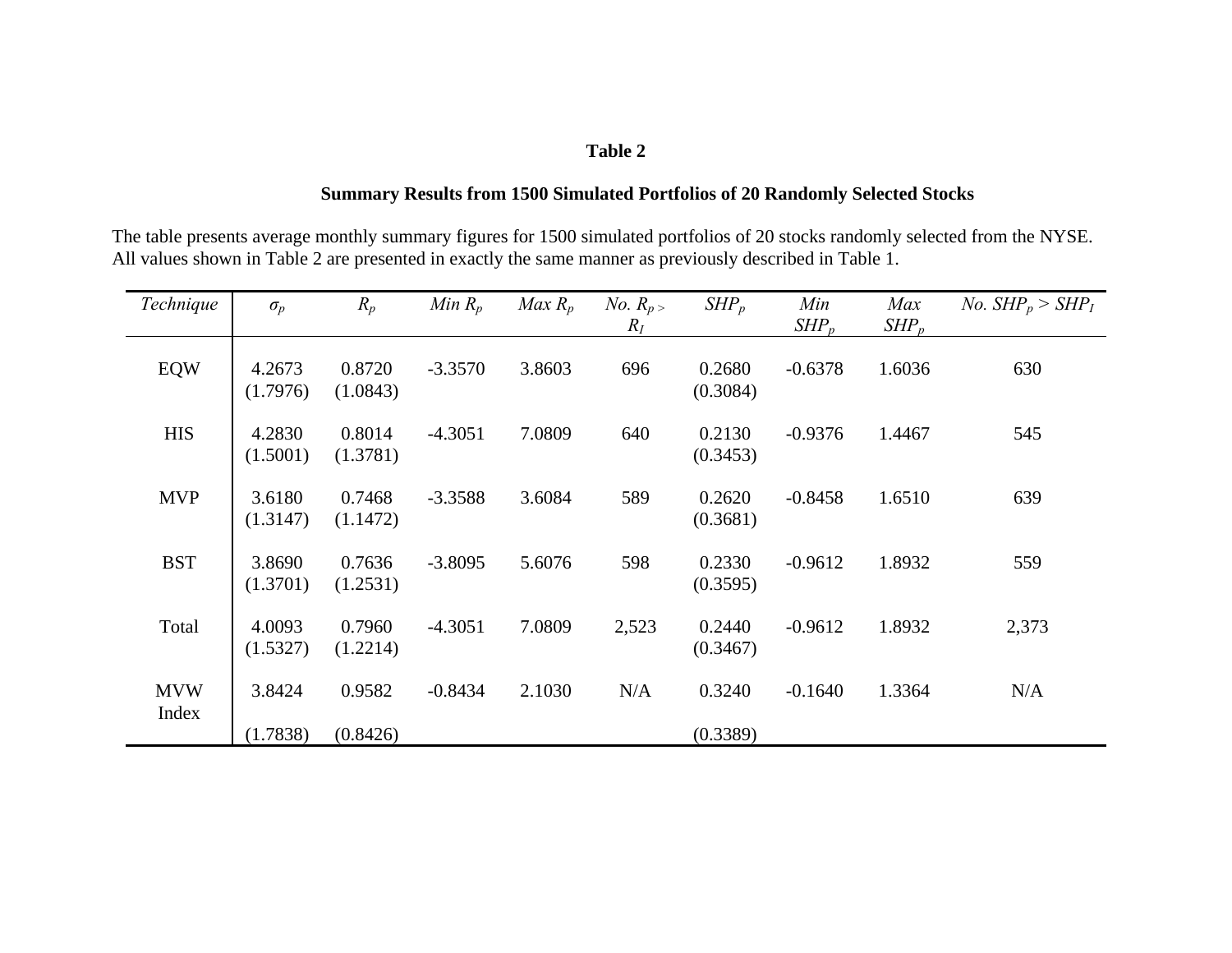#### **Table 2**

### **Summary Results from 1500 Simulated Portfolios of 20 Randomly Selected Stocks**

The table presents average monthly summary figures for 1500 simulated portfolios of 20 stocks randomly selected from the NYSE. All values shown in Table 2 are presented in exactly the same manner as previously described in Table 1.

| Technique  | $\sigma_p$         | $R_p$              | Min $R_p$ | $Max R_p$ | <i>No.</i> $R_p$<br>$R_I$ | $SHP_p$            | Min<br>$SHP_p$ | Max<br>$SHP_p$ | <i>No.</i> $SHP_p > SHP_I$ |
|------------|--------------------|--------------------|-----------|-----------|---------------------------|--------------------|----------------|----------------|----------------------------|
| <b>EQW</b> | 4.2673<br>(1.7976) | 0.8720<br>(1.0843) | $-3.3570$ | 3.8603    | 696                       | 0.2680<br>(0.3084) | $-0.6378$      | 1.6036         | 630                        |
| <b>HIS</b> | 4.2830<br>(1.5001) | 0.8014<br>(1.3781) | $-4.3051$ | 7.0809    | 640                       | 0.2130<br>(0.3453) | $-0.9376$      | 1.4467         | 545                        |
| <b>MVP</b> | 3.6180<br>(1.3147) | 0.7468<br>(1.1472) | $-3.3588$ | 3.6084    | 589                       | 0.2620<br>(0.3681) | $-0.8458$      | 1.6510         | 639                        |
| <b>BST</b> | 3.8690<br>(1.3701) | 0.7636<br>(1.2531) | $-3.8095$ | 5.6076    | 598                       | 0.2330<br>(0.3595) | $-0.9612$      | 1.8932         | 559                        |
| Total      | 4.0093<br>(1.5327) | 0.7960<br>(1.2214) | $-4.3051$ | 7.0809    | 2,523                     | 0.2440<br>(0.3467) | $-0.9612$      | 1.8932         | 2,373                      |
| <b>MVW</b> | 3.8424             | 0.9582             | $-0.8434$ | 2.1030    | N/A                       | 0.3240             | $-0.1640$      | 1.3364         | N/A                        |
| Index      | (1.7838)           | (0.8426)           |           |           |                           | (0.3389)           |                |                |                            |